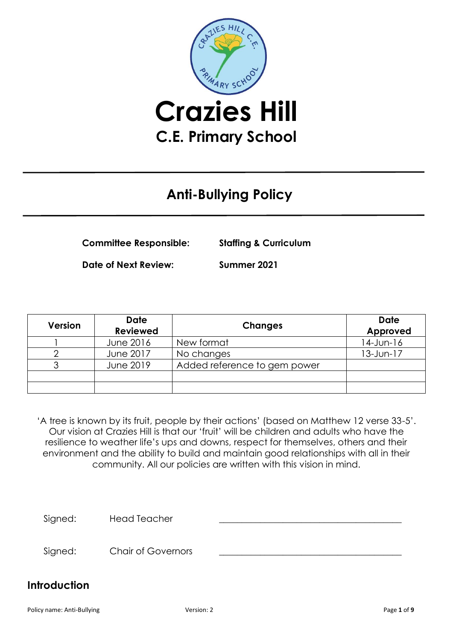

# **Anti-Bullying Policy**

**Committee Responsible: Staffing & Curriculum**

**Date of Next Review: Summer 2021**

| <b>Version</b> | <b>Date</b><br><b>Reviewed</b> | <b>Changes</b>               | <b>Date</b><br>Approved |
|----------------|--------------------------------|------------------------------|-------------------------|
|                | June 2016                      | New format                   | 14-Jun-16               |
|                | June 2017                      | No changes                   | $13$ -Jun- $17$         |
|                | June 2019                      | Added reference to gem power |                         |
|                |                                |                              |                         |
|                |                                |                              |                         |

'A tree is known by its fruit, people by their actions' (based on Matthew 12 verse 33-5'. Our vision at Crazies Hill is that our 'fruit' will be children and adults who have the resilience to weather life's ups and downs, respect for themselves, others and their environment and the ability to build and maintain good relationships with all in their community. All our policies are written with this vision in mind.

Signed: Head Teacher

Signed: Chair of Governors

#### **Introduction**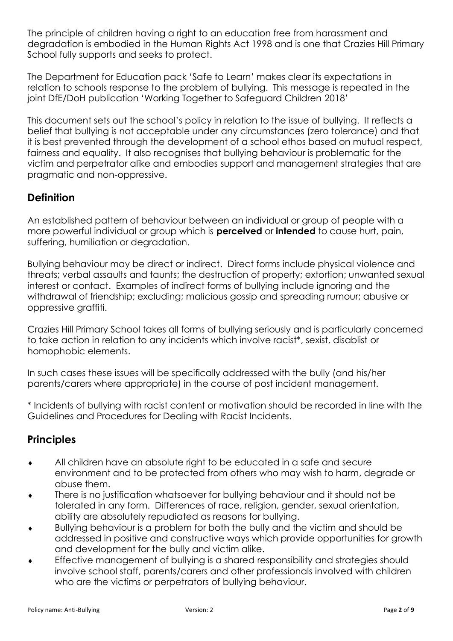The principle of children having a right to an education free from harassment and degradation is embodied in the Human Rights Act 1998 and is one that Crazies Hill Primary School fully supports and seeks to protect.

The Department for Education pack 'Safe to Learn' makes clear its expectations in relation to schools response to the problem of bullying. This message is repeated in the joint DfE/DoH publication 'Working Together to Safeguard Children 2018'

This document sets out the school's policy in relation to the issue of bullying. It reflects a belief that bullying is not acceptable under any circumstances (zero tolerance) and that it is best prevented through the development of a school ethos based on mutual respect, fairness and equality. It also recognises that bullying behaviour is problematic for the victim and perpetrator alike and embodies support and management strategies that are pragmatic and non-oppressive.

## **Definition**

An established pattern of behaviour between an individual or group of people with a more powerful individual or group which is **perceived** or **intended** to cause hurt, pain, suffering, humiliation or degradation.

Bullying behaviour may be direct or indirect. Direct forms include physical violence and threats; verbal assaults and taunts; the destruction of property; extortion; unwanted sexual interest or contact. Examples of indirect forms of bullying include ignoring and the withdrawal of friendship; excluding; malicious gossip and spreading rumour; abusive or oppressive graffiti.

Crazies Hill Primary School takes all forms of bullying seriously and is particularly concerned to take action in relation to any incidents which involve racist\*, sexist, disablist or homophobic elements.

In such cases these issues will be specifically addressed with the bully (and his/her parents/carers where appropriate) in the course of post incident management.

\* Incidents of bullying with racist content or motivation should be recorded in line with the Guidelines and Procedures for Dealing with Racist Incidents.

## **Principles**

- All children have an absolute right to be educated in a safe and secure environment and to be protected from others who may wish to harm, degrade or abuse them.
- There is no justification whatsoever for bullying behaviour and it should not be tolerated in any form. Differences of race, religion, gender, sexual orientation, ability are absolutely repudiated as reasons for bullying.
- Bullying behaviour is a problem for both the bully and the victim and should be addressed in positive and constructive ways which provide opportunities for growth and development for the bully and victim alike.
- Effective management of bullying is a shared responsibility and strategies should involve school staff, parents/carers and other professionals involved with children who are the victims or perpetrators of bullying behaviour.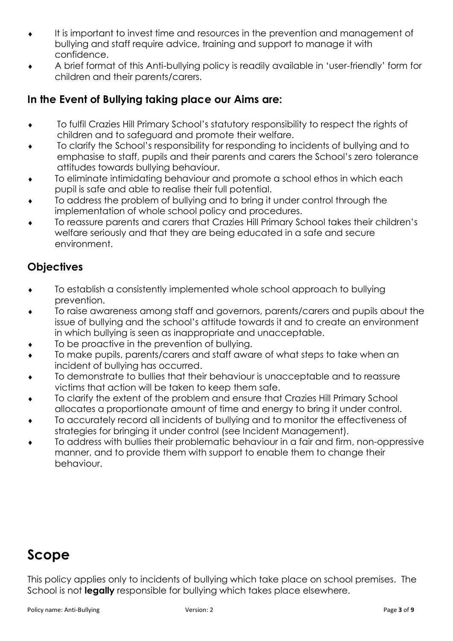- It is important to invest time and resources in the prevention and management of bullying and staff require advice, training and support to manage it with confidence.
- A brief format of this Anti-bullying policy is readily available in 'user-friendly' form for children and their parents/carers.

## **In the Event of Bullying taking place our Aims are:**

- To fulfil Crazies Hill Primary School's statutory responsibility to respect the rights of children and to safeguard and promote their welfare.
- To clarify the School's responsibility for responding to incidents of bullying and to emphasise to staff, pupils and their parents and carers the School's zero tolerance attitudes towards bullying behaviour.
- To eliminate intimidating behaviour and promote a school ethos in which each pupil is safe and able to realise their full potential.
- To address the problem of bullying and to bring it under control through the implementation of whole school policy and procedures.
- To reassure parents and carers that Crazies Hill Primary School takes their children's welfare seriously and that they are being educated in a safe and secure environment.

#### **Objectives**

- To establish a consistently implemented whole school approach to bullying prevention.
- To raise awareness among staff and governors, parents/carers and pupils about the issue of bullying and the school's attitude towards it and to create an environment in which bullying is seen as inappropriate and unacceptable.
- To be proactive in the prevention of bullying.
- To make pupils, parents/carers and staff aware of what steps to take when an incident of bullying has occurred.
- To demonstrate to bullies that their behaviour is unacceptable and to reassure victims that action will be taken to keep them safe.
- To clarify the extent of the problem and ensure that Crazies Hill Primary School allocates a proportionate amount of time and energy to bring it under control.
- To accurately record all incidents of bullying and to monitor the effectiveness of strategies for bringing it under control (see Incident Management).
- To address with bullies their problematic behaviour in a fair and firm, non-oppressive manner, and to provide them with support to enable them to change their behaviour.

# **Scope**

This policy applies only to incidents of bullying which take place on school premises. The School is not **legally** responsible for bullying which takes place elsewhere.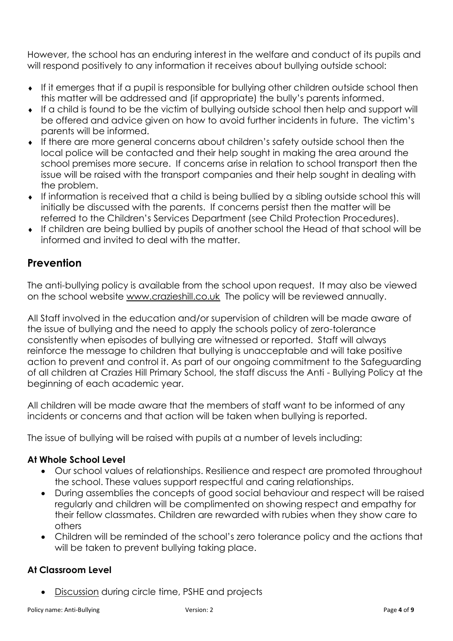However, the school has an enduring interest in the welfare and conduct of its pupils and will respond positively to any information it receives about bullying outside school:

- If it emerges that if a pupil is responsible for bullying other children outside school then this matter will be addressed and (if appropriate) the bully's parents informed.
- If a child is found to be the victim of bullying outside school then help and support will be offered and advice given on how to avoid further incidents in future. The victim's parents will be informed.
- If there are more general concerns about children's safety outside school then the local police will be contacted and their help sought in making the area around the school premises more secure. If concerns arise in relation to school transport then the issue will be raised with the transport companies and their help sought in dealing with the problem.
- If information is received that a child is being bullied by a sibling outside school this will initially be discussed with the parents. If concerns persist then the matter will be referred to the Children's Services Department (see Child Protection Procedures).
- If children are being bullied by pupils of another school the Head of that school will be informed and invited to deal with the matter.

#### **Prevention**

The anti-bullying policy is available from the school upon request. It may also be viewed on the school website [www.crazieshill.co.uk](http://www.crazieshill.co.uk/) The policy will be reviewed annually.

All Staff involved in the education and/or supervision of children will be made aware of the issue of bullying and the need to apply the schools policy of zero-tolerance consistently when episodes of bullying are witnessed or reported. Staff will always reinforce the message to children that bullying is unacceptable and will take positive action to prevent and control it. As part of our ongoing commitment to the Safeguarding of all children at Crazies Hill Primary School, the staff discuss the Anti - Bullying Policy at the beginning of each academic year.

All children will be made aware that the members of staff want to be informed of any incidents or concerns and that action will be taken when bullying is reported.

The issue of bullying will be raised with pupils at a number of levels including:

#### **At Whole School Level**

- Our school values of relationships. Resilience and respect are promoted throughout the school. These values support respectful and caring relationships.
- During assemblies the concepts of good social behaviour and respect will be raised regularly and children will be complimented on showing respect and empathy for their fellow classmates. Children are rewarded with rubies when they show care to others
- Children will be reminded of the school's zero tolerance policy and the actions that will be taken to prevent bullying taking place.

#### **At Classroom Level**

**Discussion during circle time, PSHE and projects**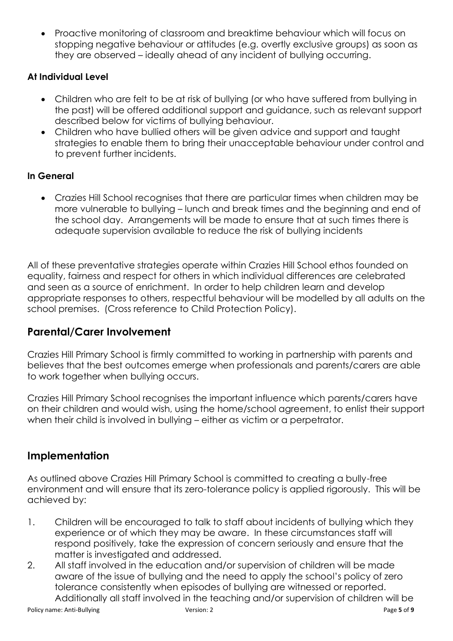• Proactive monitoring of classroom and breaktime behaviour which will focus on stopping negative behaviour or attitudes (e.g. overtly exclusive groups) as soon as they are observed – ideally ahead of any incident of bullying occurring.

#### **At Individual Level**

- Children who are felt to be at risk of bullying (or who have suffered from bullying in the past) will be offered additional support and guidance, such as relevant support described below for victims of bullying behaviour.
- Children who have bullied others will be given advice and support and taught strategies to enable them to bring their unacceptable behaviour under control and to prevent further incidents.

#### **In General**

• Crazies Hill School recognises that there are particular times when children may be more vulnerable to bullying – lunch and break times and the beginning and end of the school day. Arrangements will be made to ensure that at such times there is adequate supervision available to reduce the risk of bullying incidents

All of these preventative strategies operate within Crazies Hill School ethos founded on equality, fairness and respect for others in which individual differences are celebrated and seen as a source of enrichment. In order to help children learn and develop appropriate responses to others, respectful behaviour will be modelled by all adults on the school premises. (Cross reference to Child Protection Policy).

#### **Parental/Carer Involvement**

Crazies Hill Primary School is firmly committed to working in partnership with parents and believes that the best outcomes emerge when professionals and parents/carers are able to work together when bullying occurs.

Crazies Hill Primary School recognises the important influence which parents/carers have on their children and would wish, using the home/school agreement, to enlist their support when their child is involved in bullying – either as victim or a perpetrator.

## **Implementation**

As outlined above Crazies Hill Primary School is committed to creating a bully-free environment and will ensure that its zero-tolerance policy is applied rigorously. This will be achieved by:

- 1. Children will be encouraged to talk to staff about incidents of bullying which they experience or of which they may be aware. In these circumstances staff will respond positively, take the expression of concern seriously and ensure that the matter is investigated and addressed.
- 2. All staff involved in the education and/or supervision of children will be made aware of the issue of bullying and the need to apply the school's policy of zero tolerance consistently when episodes of bullying are witnessed or reported. Additionally all staff involved in the teaching and/or supervision of children will be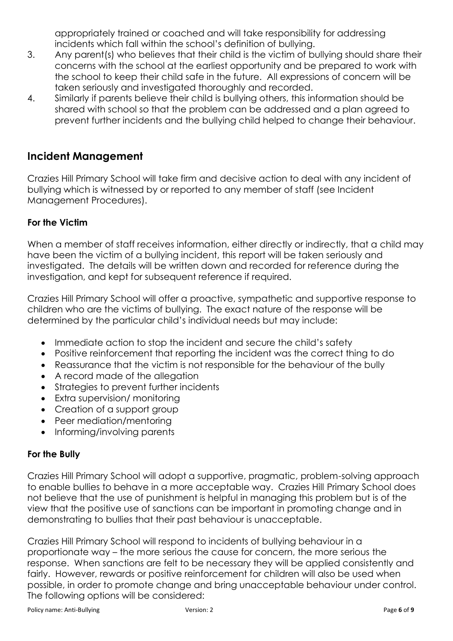appropriately trained or coached and will take responsibility for addressing incidents which fall within the school's definition of bullying.

- 3. Any parent(s) who believes that their child is the victim of bullying should share their concerns with the school at the earliest opportunity and be prepared to work with the school to keep their child safe in the future. All expressions of concern will be taken seriously and investigated thoroughly and recorded.
- 4. Similarly if parents believe their child is bullying others, this information should be shared with school so that the problem can be addressed and a plan agreed to prevent further incidents and the bullying child helped to change their behaviour.

### **Incident Management**

Crazies Hill Primary School will take firm and decisive action to deal with any incident of bullying which is witnessed by or reported to any member of staff (see Incident Management Procedures).

#### **For the Victim**

When a member of staff receives information, either directly or indirectly, that a child may have been the victim of a bullying incident, this report will be taken seriously and investigated. The details will be written down and recorded for reference during the investigation, and kept for subsequent reference if required.

Crazies Hill Primary School will offer a proactive, sympathetic and supportive response to children who are the victims of bullying. The exact nature of the response will be determined by the particular child's individual needs but may include:

- Immediate action to stop the incident and secure the child's safety
- Positive reinforcement that reporting the incident was the correct thing to do
- Reassurance that the victim is not responsible for the behaviour of the bully
- A record made of the allegation
- Strategies to prevent further incidents
- Extra supervision/ monitoring
- Creation of a support group
- Peer mediation/mentoring
- Informing/involving parents

#### **For the Bully**

Crazies Hill Primary School will adopt a supportive, pragmatic, problem-solving approach to enable bullies to behave in a more acceptable way. Crazies Hill Primary School does not believe that the use of punishment is helpful in managing this problem but is of the view that the positive use of sanctions can be important in promoting change and in demonstrating to bullies that their past behaviour is unacceptable.

Crazies Hill Primary School will respond to incidents of bullying behaviour in a proportionate way – the more serious the cause for concern, the more serious the response. When sanctions are felt to be necessary they will be applied consistently and fairly. However, rewards or positive reinforcement for children will also be used when possible, in order to promote change and bring unacceptable behaviour under control. The following options will be considered: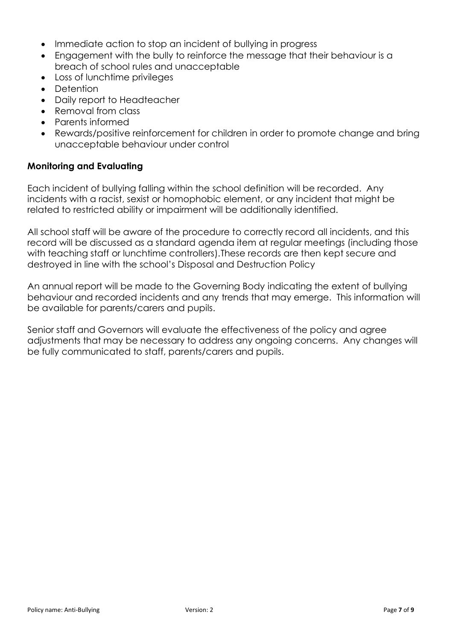- Immediate action to stop an incident of bullying in progress
- Engagement with the bully to reinforce the message that their behaviour is a breach of school rules and unacceptable
- Loss of lunchtime privileges
- Detention
- Daily report to Headteacher
- Removal from class
- Parents informed
- Rewards/positive reinforcement for children in order to promote change and bring unacceptable behaviour under control

#### **Monitoring and Evaluating**

Each incident of bullying falling within the school definition will be recorded. Any incidents with a racist, sexist or homophobic element, or any incident that might be related to restricted ability or impairment will be additionally identified.

All school staff will be aware of the procedure to correctly record all incidents, and this record will be discussed as a standard agenda item at regular meetings (including those with teaching staff or lunchtime controllers).These records are then kept secure and destroyed in line with the school's Disposal and Destruction Policy

An annual report will be made to the Governing Body indicating the extent of bullying behaviour and recorded incidents and any trends that may emerge. This information will be available for parents/carers and pupils.

Senior staff and Governors will evaluate the effectiveness of the policy and agree adjustments that may be necessary to address any ongoing concerns. Any changes will be fully communicated to staff, parents/carers and pupils.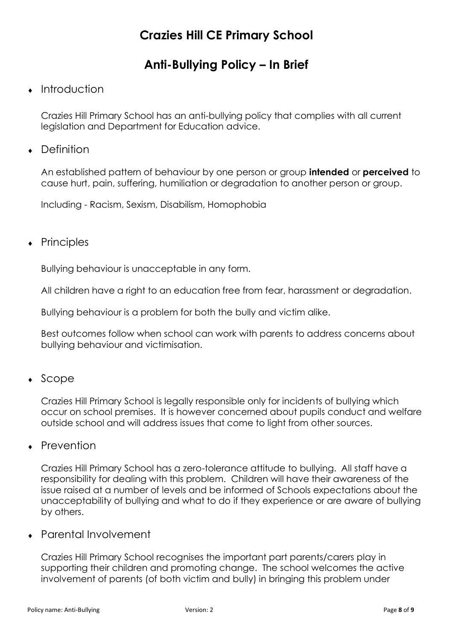## **Crazies Hill CE Primary School**

## **Anti-Bullying Policy – In Brief**

#### Introduction

Crazies Hill Primary School has an anti-bullying policy that complies with all current legislation and Department for Education advice.

• Definition

An established pattern of behaviour by one person or group **intended** or **perceived** to cause hurt, pain, suffering, humiliation or degradation to another person or group.

Including - Racism, Sexism, Disabilism, Homophobia

#### Principles

Bullying behaviour is unacceptable in any form.

All children have a right to an education free from fear, harassment or degradation.

Bullying behaviour is a problem for both the bully and victim alike.

Best outcomes follow when school can work with parents to address concerns about bullying behaviour and victimisation.

 $\bullet$  Scope

Crazies Hill Primary School is legally responsible only for incidents of bullying which occur on school premises. It is however concerned about pupils conduct and welfare outside school and will address issues that come to light from other sources.

• Prevention

Crazies Hill Primary School has a zero-tolerance attitude to bullying. All staff have a responsibility for dealing with this problem. Children will have their awareness of the issue raised at a number of levels and be informed of Schools expectations about the unacceptability of bullying and what to do if they experience or are aware of bullying by others.

Parental Involvement

Crazies Hill Primary School recognises the important part parents/carers play in supporting their children and promoting change. The school welcomes the active involvement of parents (of both victim and bully) in bringing this problem under